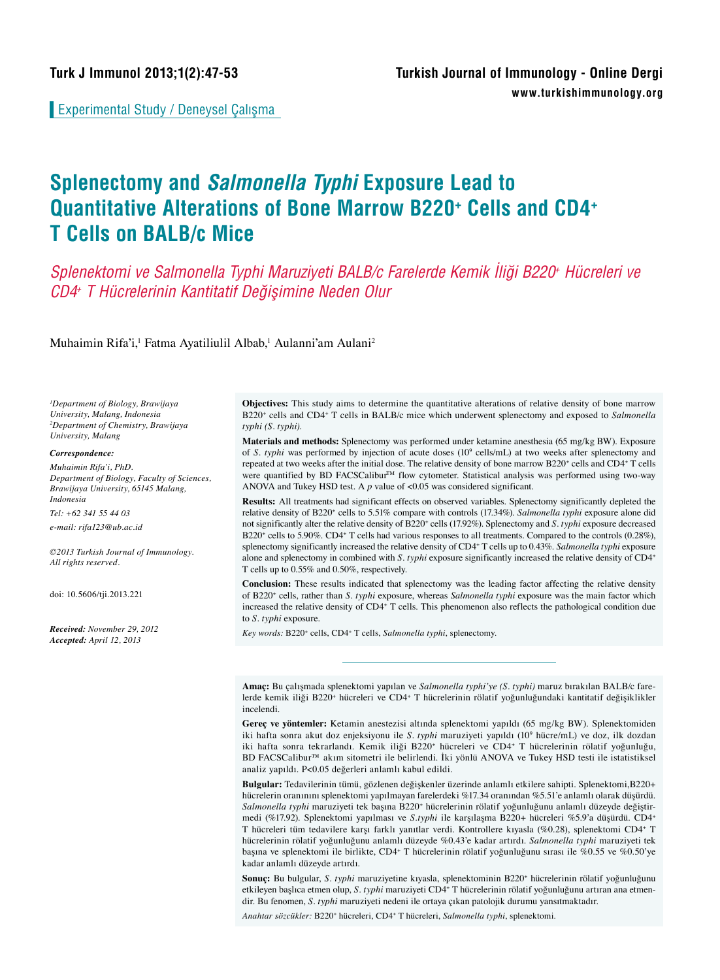Experimental Study / Deneysel Çalışma

# **Splenectomy and Salmonella Typhi Exposure Lead to Quantitative Alterations of Bone Marrow B220<sup>+</sup> Cells and CD4<sup>+</sup> T Cells on BALB/c Mice**

*Splenektomi ve Salmonella Typhi Maruziyeti BALB/c Farelerde Kemik İliği B220+ Hücreleri ve CD4+ T Hücrelerinin Kantitatif Değişimine Neden Olur* 

Muhaimin Rifa'i,<sup>1</sup> Fatma Ayatiliulil Albab,<sup>1</sup> Aulanni'am Aulani<sup>2</sup>

*1 Department of Biology, Brawijaya University, Malang, Indonesia 2 Department of Chemistry, Brawijaya University, Malang*

#### *Correspondence:*

*Muhaimin Rifa'i, PhD. Department of Biology, Faculty of Sciences, Brawijaya University, 65145 Malang, Indonesia*

*Tel: +62 341 55 44 03*

*e-mail: rifa123@ub.ac.id*

*©2013 Turkish Journal of Immunology. All rights reserved.*

doi: 10.5606/tji.2013.221

*Received: November 29, 2012 Accepted: April 12, 2013*

**Objectives:** This study aims to determine the quantitative alterations of relative density of bone marrow B220<sup>+</sup> cells and CD4<sup>+</sup> T cells in BALB/c mice which underwent splenectomy and exposed to *Salmonella typhi (S. typhi)*.

**Materials and methods:** Splenectomy was performed under ketamine anesthesia (65 mg/kg BW). Exposure of *S. typhi* was performed by injection of acute doses (10<sup>9</sup> cells/mL) at two weeks after splenectomy and repeated at two weeks after the initial dose. The relative density of bone marrow B220<sup>+</sup> cells and CD4<sup>+</sup> T cells were quantified by BD FACSCalibur™ flow cytometer. Statistical analysis was performed using two-way ANOVA and Tukey HSD test. A *p* value of <0.05 was considered significant.

**Results:** All treatments had significant effects on observed variables. Splenectomy significantly depleted the relative density of B220<sup>+</sup> cells to 5.51% compare with controls (17.34%). *Salmonella typhi* exposure alone did not significantly alter the relative density of B220<sup>+</sup> cells (17.92%). Splenectomy and *S. typhi* exposure decreased B220<sup>+</sup> cells to 5.90%. CD4<sup>+</sup> T cells had various responses to all treatments. Compared to the controls (0.28%), splenectomy significantly increased the relative density of CD4<sup>+</sup> T cells up to 0.43%. *Salmonella typhi* exposure alone and splenectomy in combined with *S. typhi* exposure significantly increased the relative density of CD4<sup>+</sup> T cells up to 0.55% and 0.50%, respectively.

**Conclusion:** These results indicated that splenectomy was the leading factor affecting the relative density of B220<sup>+</sup> cells, rather than *S. typhi* exposure, whereas *Salmonella typhi* exposure was the main factor which increased the relative density of CD4<sup>+</sup> T cells. This phenomenon also reflects the pathological condition due to *S. typhi* exposure.

Key words: B220<sup>+</sup> cells, CD4<sup>+</sup> T cells, Salmonella typhi, splenectomy.

**Amaç:** Bu çalışmada splenektomi yapılan ve *Salmonella typhi'ye (S. typhi)* maruz bırakılan BALB/c farelerde kemik iliği B220<sup>+</sup> hücreleri ve CD4<sup>+</sup> T hücrelerinin rölatif yoğunluğundaki kantitatif değişiklikler incelendi.

**Gereç ve yöntemler:** Ketamin anestezisi altında splenektomi yapıldı (65 mg/kg BW). Splenektomiden iki hafta sonra akut doz enjeksiyonu ile *S. typhi* maruziyeti yapıldı (10<sup>9</sup> hücre/mL) ve doz, ilk dozdan iki hafta sonra tekrarlandı. Kemik iliği B220+ hücreleri ve CD4+ T hücrelerinin rölatif yoğunluğu, BD FACSCalibur™ akım sitometri ile belirlendi. İki yönlü ANOVA ve Tukey HSD testi ile istatistiksel analiz yapıldı. P<0.05 değerleri anlamlı kabul edildi.

**Bulgular:** Tedavilerinin tümü, gözlenen değişkenler üzerinde anlamlı etkilere sahipti. Splenektomi,B220+ hücrelerin oranınını splenektomi yapılmayan farelerdeki %17.34 oranından %5.51'e anlamlı olarak düşürdü. *Salmonella typhi* maruziyeti tek başına B220<sup>+</sup> hücrelerinin rölatif yoğunluğunu anlamlı düzeyde değiştirmedi (%17.92). Splenektomi yapılması ve *S.typhi* ile karşılaşma B220+ hücreleri %5.9'a düşürdü. CD4<sup>+</sup> T hücreleri tüm tedavilere karşı farklı yanıtlar verdi. Kontrollere kıyasla (%0.28), splenektomi CD4<sup>+</sup> T hücrelerinin rölatif yoğunluğunu anlamlı düzeyde %0.43'e kadar artırdı. *Salmonella typhi* maruziyeti tek başına ve splenektomi ile birlikte, CD4<sup>+</sup> T hücrelerinin rölatif yoğunluğunu sırası ile %0.55 ve %0.50'ye kadar anlamlı düzeyde artırdı.

**Sonuç:** Bu bulgular, *S. typhi* maruziyetine kıyasla, splenektominin B220<sup>+</sup> hücrelerinin rölatif yoğunluğunu etkileyen başlıca etmen olup, *S. typhi* maruziyeti CD4<sup>+</sup> T hücrelerinin rölatif yoğunluğunu artıran ana etmendir. Bu fenomen, *S. typhi* maruziyeti nedeni ile ortaya çıkan patolojik durumu yansıtmaktadır.

*Anahtar sözcükler:* B220<sup>+</sup> hücreleri, CD4<sup>+</sup> T hücreleri, *Salmonella typhi*, splenektomi.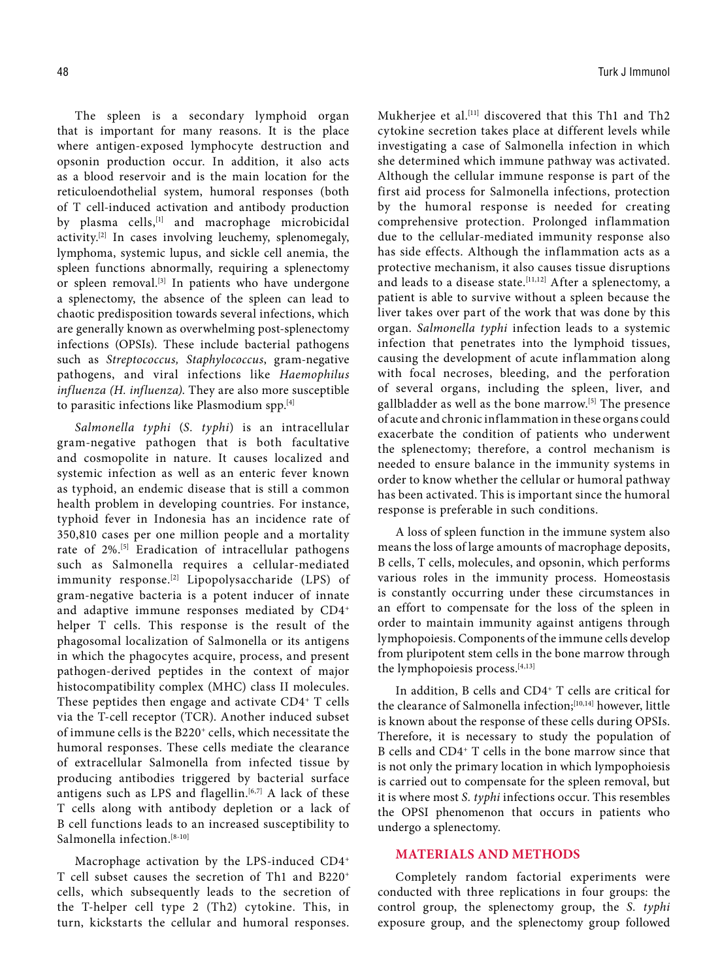The spleen is a secondary lymphoid organ that is important for many reasons. It is the place where antigen-exposed lymphocyte destruction and opsonin production occur. In addition, it also acts as a blood reservoir and is the main location for the reticuloendothelial system, humoral responses (both of T cell-induced activation and antibody production by plasma cells,<sup>[1]</sup> and macrophage microbicidal activity.[2] In cases involving leuchemy, splenomegaly, lymphoma, systemic lupus, and sickle cell anemia, the spleen functions abnormally, requiring a splenectomy or spleen removal.[3] In patients who have undergone a splenectomy, the absence of the spleen can lead to chaotic predisposition towards several infections, which are generally known as overwhelming post-splenectomy infections (OPSIs). These include bacterial pathogens such as *Streptococcus, Staphylococcus*, gram-negative pathogens, and viral infections like *Haemophilus influenza (H. influenza)*. They are also more susceptible to parasitic infections like Plasmodium spp.[4]

*Salmonella typhi* (*S. typhi*) is an intracellular gram-negative pathogen that is both facultative and cosmopolite in nature. It causes localized and systemic infection as well as an enteric fever known as typhoid, an endemic disease that is still a common health problem in developing countries. For instance, typhoid fever in Indonesia has an incidence rate of 350,810 cases per one million people and a mortality rate of 2%.[5] Eradication of intracellular pathogens such as Salmonella requires a cellular-mediated immunity response.<sup>[2]</sup> Lipopolysaccharide (LPS) of gram-negative bacteria is a potent inducer of innate and adaptive immune responses mediated by CD4+ helper T cells. This response is the result of the phagosomal localization of Salmonella or its antigens in which the phagocytes acquire, process, and present pathogen-derived peptides in the context of major histocompatibility complex (MHC) class II molecules. These peptides then engage and activate  $CD4^+$  T cells via the T-cell receptor (TCR). Another induced subset of immune cells is the B220<sup>+</sup> cells, which necessitate the humoral responses. These cells mediate the clearance of extracellular Salmonella from infected tissue by producing antibodies triggered by bacterial surface antigens such as LPS and flagellin. $[6,7]$  A lack of these T cells along with antibody depletion or a lack of B cell functions leads to an increased susceptibility to Salmonella infection.<sup>[8-10]</sup>

Macrophage activation by the LPS-induced CD4+ T cell subset causes the secretion of Th1 and B220+ cells, which subsequently leads to the secretion of the T-helper cell type 2 (Th2) cytokine. This, in turn, kickstarts the cellular and humoral responses.

Mukherjee et al.<sup>[11]</sup> discovered that this Th1 and Th2 cytokine secretion takes place at different levels while investigating a case of Salmonella infection in which she determined which immune pathway was activated. Although the cellular immune response is part of the first aid process for Salmonella infections, protection by the humoral response is needed for creating comprehensive protection. Prolonged inflammation due to the cellular-mediated immunity response also has side effects. Although the inflammation acts as a protective mechanism, it also causes tissue disruptions and leads to a disease state.<sup>[11,12]</sup> After a splenectomy, a patient is able to survive without a spleen because the liver takes over part of the work that was done by this organ. *Salmonella typhi* infection leads to a systemic infection that penetrates into the lymphoid tissues, causing the development of acute inflammation along with focal necroses, bleeding, and the perforation of several organs, including the spleen, liver, and gallbladder as well as the bone marrow.[5] The presence of acute and chronic inflammation in these organs could exacerbate the condition of patients who underwent the splenectomy; therefore, a control mechanism is needed to ensure balance in the immunity systems in order to know whether the cellular or humoral pathway has been activated. This is important since the humoral response is preferable in such conditions.

A loss of spleen function in the immune system also means the loss of large amounts of macrophage deposits, B cells, T cells, molecules, and opsonin, which performs various roles in the immunity process. Homeostasis is constantly occurring under these circumstances in an effort to compensate for the loss of the spleen in order to maintain immunity against antigens through lymphopoiesis. Components of the immune cells develop from pluripotent stem cells in the bone marrow through the lymphopoiesis process.[4,13]

In addition, B cells and CD4+ T cells are critical for the clearance of Salmonella infection;[10,14] however, little is known about the response of these cells during OPSIs. Therefore, it is necessary to study the population of B cells and CD4+ T cells in the bone marrow since that is not only the primary location in which lympophoiesis is carried out to compensate for the spleen removal, but it is where most *S. typhi* infections occur. This resembles the OPSI phenomenon that occurs in patients who undergo a splenectomy.

# **MATERIALS AND METHODS**

Completely random factorial experiments were conducted with three replications in four groups: the control group, the splenectomy group, the *S. typhi* exposure group, and the splenectomy group followed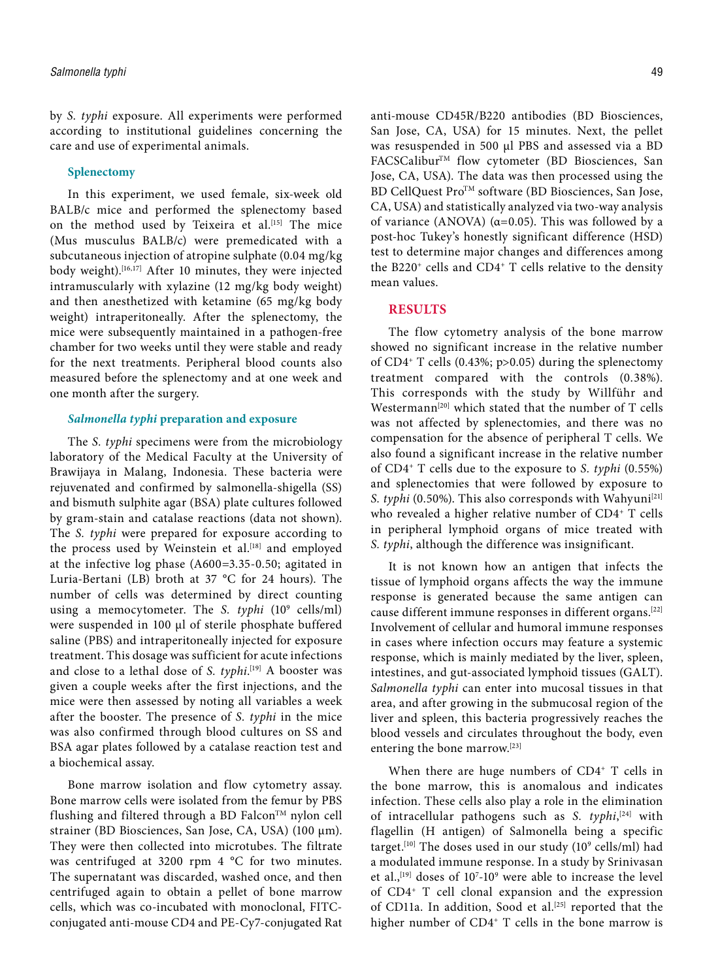by *S. typhi* exposure. All experiments were performed according to institutional guidelines concerning the care and use of experimental animals.

#### **Splenectomy**

In this experiment, we used female, six-week old BALB/c mice and performed the splenectomy based on the method used by Teixeira et al.<sup>[15]</sup> The mice (Mus musculus BALB/c) were premedicated with a subcutaneous injection of atropine sulphate (0.04 mg/kg body weight).<sup>[16,17]</sup> After 10 minutes, they were injected intramuscularly with xylazine (12 mg/kg body weight) and then anesthetized with ketamine (65 mg/kg body weight) intraperitoneally. After the splenectomy, the mice were subsequently maintained in a pathogen-free chamber for two weeks until they were stable and ready for the next treatments. Peripheral blood counts also measured before the splenectomy and at one week and one month after the surgery.

#### *Salmonella typhi* **preparation and exposure**

The *S. typhi* specimens were from the microbiology laboratory of the Medical Faculty at the University of Brawijaya in Malang, Indonesia. These bacteria were rejuvenated and confirmed by salmonella-shigella (SS) and bismuth sulphite agar (BSA) plate cultures followed by gram-stain and catalase reactions (data not shown). The *S. typhi* were prepared for exposure according to the process used by Weinstein et al.<sup>[18]</sup> and employed at the infective log phase (A600=3.35-0.50; agitated in Luria-Bertani (LB) broth at 37 °C for 24 hours). The number of cells was determined by direct counting using a memocytometer. The *S. typhi* (10<sup>9</sup> cells/ml) were suspended in 100 μl of sterile phosphate buffered saline (PBS) and intraperitoneally injected for exposure treatment. This dosage was sufficient for acute infections and close to a lethal dose of *S. typhi*. [19] A booster was given a couple weeks after the first injections, and the mice were then assessed by noting all variables a week after the booster. The presence of *S. typhi* in the mice was also confirmed through blood cultures on SS and BSA agar plates followed by a catalase reaction test and a biochemical assay.

Bone marrow isolation and flow cytometry assay. Bone marrow cells were isolated from the femur by PBS flushing and filtered through a BD Falcon™ nylon cell strainer (BD Biosciences, San Jose, CA, USA) (100 μm). They were then collected into microtubes. The filtrate was centrifuged at 3200 rpm 4 °C for two minutes. The supernatant was discarded, washed once, and then centrifuged again to obtain a pellet of bone marrow cells, which was co-incubated with monoclonal, FITCconjugated anti-mouse CD4 and PE-Cy7-conjugated Rat anti-mouse CD45R/B220 antibodies (BD Biosciences, San Jose, CA, USA) for 15 minutes. Next, the pellet was resuspended in 500 μl PBS and assessed via a BD FACSCalibur™ flow cytometer (BD Biosciences, San Jose, CA, USA). The data was then processed using the BD CellQuest Pro<sup>TM</sup> software (BD Biosciences, San Jose, CA, USA) and statistically analyzed via two-way analysis of variance (ANOVA) ( $\alpha$ =0.05). This was followed by a post-hoc Tukey's honestly significant difference (HSD) test to determine major changes and differences among the B220+ cells and CD4+ T cells relative to the density mean values.

#### **RESULTS**

The flow cytometry analysis of the bone marrow showed no significant increase in the relative number of CD4+ T cells (0.43%; p>0.05) during the splenectomy treatment compared with the controls (0.38%). This corresponds with the study by Willführ and Westermann<sup>[20]</sup> which stated that the number of T cells was not affected by splenectomies, and there was no compensation for the absence of peripheral T cells. We also found a significant increase in the relative number of CD4+ T cells due to the exposure to *S. typhi* (0.55%) and splenectomies that were followed by exposure to *S. typhi* (0.50%). This also corresponds with Wahyuni<sup>[21]</sup> who revealed a higher relative number of CD4+ T cells in peripheral lymphoid organs of mice treated with *S. typhi*, although the difference was insignificant.

It is not known how an antigen that infects the tissue of lymphoid organs affects the way the immune response is generated because the same antigen can cause different immune responses in different organs.[22] Involvement of cellular and humoral immune responses in cases where infection occurs may feature a systemic response, which is mainly mediated by the liver, spleen, intestines, and gut-associated lymphoid tissues (GALT). *Salmonella typhi* can enter into mucosal tissues in that area, and after growing in the submucosal region of the liver and spleen, this bacteria progressively reaches the blood vessels and circulates throughout the body, even entering the bone marrow.[23]

When there are huge numbers of CD4<sup>+</sup> T cells in the bone marrow, this is anomalous and indicates infection. These cells also play a role in the elimination of intracellular pathogens such as *S. typhi*, [24] with flagellin (H antigen) of Salmonella being a specific target.<sup>[10]</sup> The doses used in our study (10<sup>9</sup> cells/ml) had a modulated immune response. In a study by Srinivasan et al.,  $[19]$  doses of  $10^7$ -10<sup>9</sup> were able to increase the level of CD4+ T cell clonal expansion and the expression of CD11a. In addition, Sood et al.<sup>[25]</sup> reported that the higher number of CD4<sup>+</sup> T cells in the bone marrow is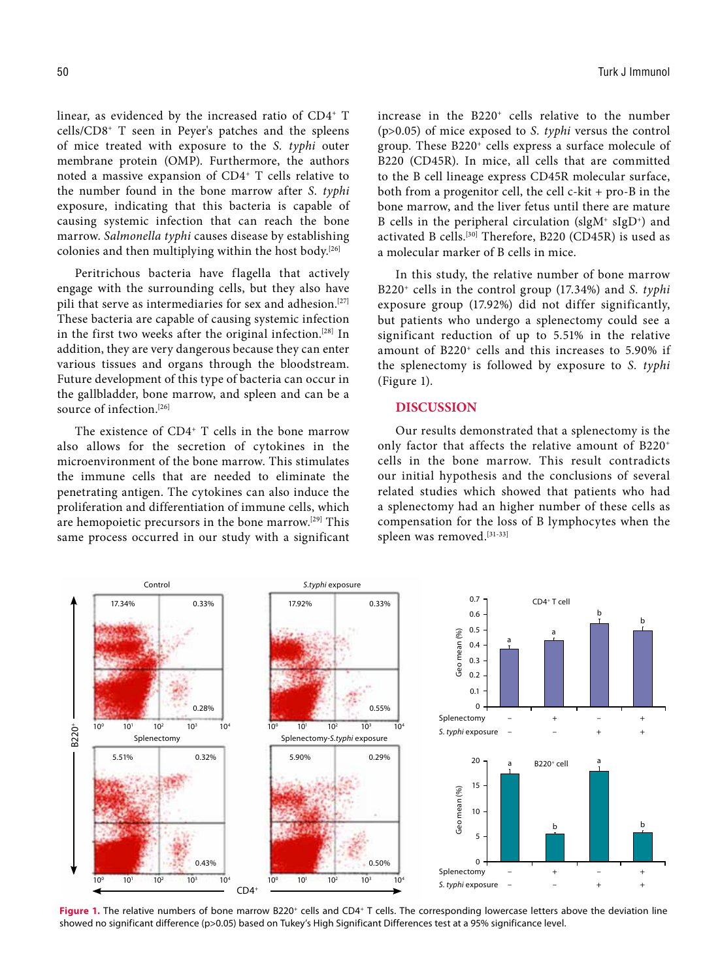linear, as evidenced by the increased ratio of CD4<sup>+</sup> T cells/CD8+ T seen in Peyer's patches and the spleens of mice treated with exposure to the *S. typhi* outer membrane protein (OMP). Furthermore, the authors noted a massive expansion of CD4+ T cells relative to the number found in the bone marrow after *S. typhi* exposure, indicating that this bacteria is capable of causing systemic infection that can reach the bone marrow. *Salmonella typhi* causes disease by establishing colonies and then multiplying within the host body.[26]

Peritrichous bacteria have flagella that actively engage with the surrounding cells, but they also have pili that serve as intermediaries for sex and adhesion.<sup>[27]</sup> These bacteria are capable of causing systemic infection in the first two weeks after the original infection.[28] In addition, they are very dangerous because they can enter various tissues and organs through the bloodstream. Future development of this type of bacteria can occur in the gallbladder, bone marrow, and spleen and can be a source of infection.<sup>[26]</sup>

The existence of CD4<sup>+</sup> T cells in the bone marrow also allows for the secretion of cytokines in the microenvironment of the bone marrow. This stimulates the immune cells that are needed to eliminate the penetrating antigen. The cytokines can also induce the proliferation and differentiation of immune cells, which are hemopoietic precursors in the bone marrow.[29] This same process occurred in our study with a significant increase in the B220+ cells relative to the number (p>0.05) of mice exposed to *S. typhi* versus the control group. These B220+ cells express a surface molecule of B220 (CD45R). In mice, all cells that are committed to the B cell lineage express CD45R molecular surface, both from a progenitor cell, the cell c-kit + pro-B in the bone marrow, and the liver fetus until there are mature B cells in the peripheral circulation (slgM+ sIgD+ ) and activated B cells.[30] Therefore, B220 (CD45R) is used as a molecular marker of B cells in mice.

In this study, the relative number of bone marrow B220+ cells in the control group (17.34%) and *S. typhi* exposure group (17.92%) did not differ significantly, but patients who undergo a splenectomy could see a significant reduction of up to 5.51% in the relative amount of B220+ cells and this increases to 5.90% if the splenectomy is followed by exposure to *S. typhi* (Figure 1).

## **DISCUSSION**

Our results demonstrated that a splenectomy is the only factor that affects the relative amount of B220+ cells in the bone marrow. This result contradicts our initial hypothesis and the conclusions of several related studies which showed that patients who had a splenectomy had an higher number of these cells as compensation for the loss of B lymphocytes when the spleen was removed.[31-33]



Figure 1. The relative numbers of bone marrow B220<sup>+</sup> cells and CD4<sup>+</sup> T cells. The corresponding lowercase letters above the deviation line showed no significant difference (p>0.05) based on Tukey's High Significant Differences test at a 95% significance level.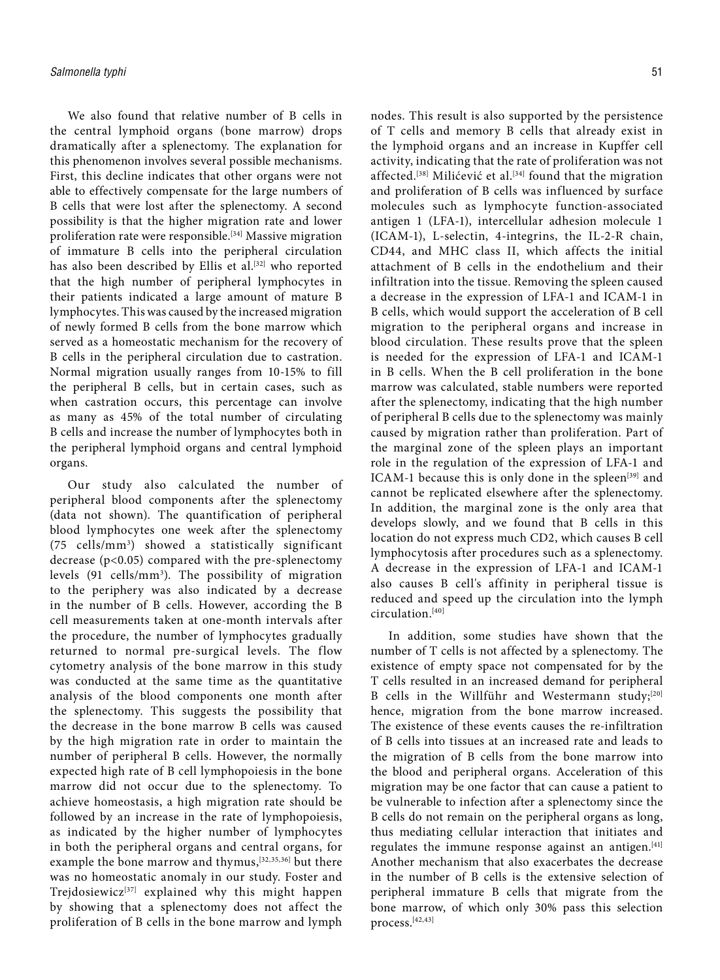We also found that relative number of B cells in the central lymphoid organs (bone marrow) drops dramatically after a splenectomy. The explanation for this phenomenon involves several possible mechanisms. First, this decline indicates that other organs were not able to effectively compensate for the large numbers of B cells that were lost after the splenectomy. A second possibility is that the higher migration rate and lower proliferation rate were responsible.[34] Massive migration of immature B cells into the peripheral circulation has also been described by Ellis et al.<sup>[32]</sup> who reported that the high number of peripheral lymphocytes in their patients indicated a large amount of mature B lymphocytes. This was caused by the increased migration of newly formed B cells from the bone marrow which served as a homeostatic mechanism for the recovery of B cells in the peripheral circulation due to castration. Normal migration usually ranges from 10-15% to fill the peripheral B cells, but in certain cases, such as when castration occurs, this percentage can involve as many as 45% of the total number of circulating B cells and increase the number of lymphocytes both in the peripheral lymphoid organs and central lymphoid organs.

Our study also calculated the number of peripheral blood components after the splenectomy (data not shown). The quantification of peripheral blood lymphocytes one week after the splenectomy (75 cells/mm3 ) showed a statistically significant decrease (p<0.05) compared with the pre-splenectomy levels (91 cells/mm3 ). The possibility of migration to the periphery was also indicated by a decrease in the number of B cells. However, according the B cell measurements taken at one-month intervals after the procedure, the number of lymphocytes gradually returned to normal pre-surgical levels. The flow cytometry analysis of the bone marrow in this study was conducted at the same time as the quantitative analysis of the blood components one month after the splenectomy. This suggests the possibility that the decrease in the bone marrow B cells was caused by the high migration rate in order to maintain the number of peripheral B cells. However, the normally expected high rate of B cell lymphopoiesis in the bone marrow did not occur due to the splenectomy. To achieve homeostasis, a high migration rate should be followed by an increase in the rate of lymphopoiesis, as indicated by the higher number of lymphocytes in both the peripheral organs and central organs, for example the bone marrow and thymus, [32,35,36] but there was no homeostatic anomaly in our study. Foster and Trejdosiewicz<sup>[37]</sup> explained why this might happen by showing that a splenectomy does not affect the proliferation of B cells in the bone marrow and lymph

nodes. This result is also supported by the persistence of T cells and memory B cells that already exist in the lymphoid organs and an increase in Kupffer cell activity, indicating that the rate of proliferation was not affected.<sup>[38]</sup> Milićević et al.<sup>[34]</sup> found that the migration and proliferation of B cells was influenced by surface molecules such as lymphocyte function-associated antigen 1 (LFA-1), intercellular adhesion molecule 1 (ICAM-1), L-selectin, 4-integrins, the IL-2-R chain, CD44, and MHC class II, which affects the initial attachment of B cells in the endothelium and their infiltration into the tissue. Removing the spleen caused a decrease in the expression of LFA-1 and ICAM-1 in B cells, which would support the acceleration of B cell migration to the peripheral organs and increase in blood circulation. These results prove that the spleen is needed for the expression of LFA-1 and ICAM-1 in B cells. When the B cell proliferation in the bone marrow was calculated, stable numbers were reported after the splenectomy, indicating that the high number of peripheral B cells due to the splenectomy was mainly caused by migration rather than proliferation. Part of the marginal zone of the spleen plays an important role in the regulation of the expression of LFA-1 and ICAM-1 because this is only done in the spleen<sup>[39]</sup> and cannot be replicated elsewhere after the splenectomy. In addition, the marginal zone is the only area that develops slowly, and we found that B cells in this location do not express much CD2, which causes B cell lymphocytosis after procedures such as a splenectomy. A decrease in the expression of LFA-1 and ICAM-1 also causes B cell's affinity in peripheral tissue is reduced and speed up the circulation into the lymph circulation.[40]

In addition, some studies have shown that the number of T cells is not affected by a splenectomy. The existence of empty space not compensated for by the T cells resulted in an increased demand for peripheral B cells in the Willführ and Westermann study;[20] hence, migration from the bone marrow increased. The existence of these events causes the re-infiltration of B cells into tissues at an increased rate and leads to the migration of B cells from the bone marrow into the blood and peripheral organs. Acceleration of this migration may be one factor that can cause a patient to be vulnerable to infection after a splenectomy since the B cells do not remain on the peripheral organs as long, thus mediating cellular interaction that initiates and regulates the immune response against an antigen.<sup>[41]</sup> Another mechanism that also exacerbates the decrease in the number of B cells is the extensive selection of peripheral immature B cells that migrate from the bone marrow, of which only 30% pass this selection process.[42,43]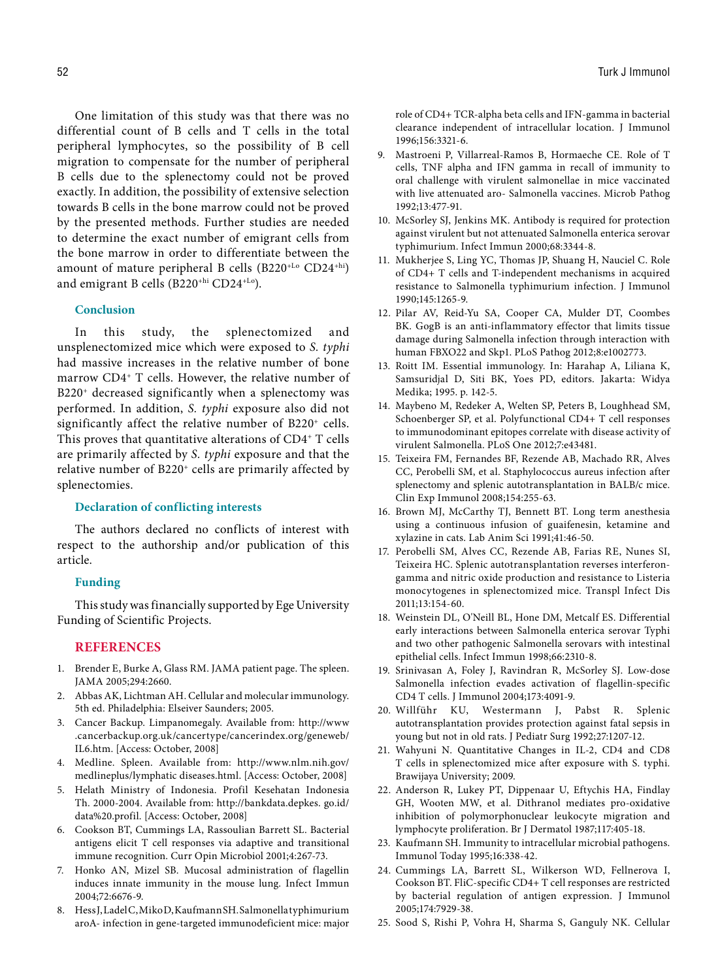One limitation of this study was that there was no differential count of B cells and T cells in the total peripheral lymphocytes, so the possibility of B cell migration to compensate for the number of peripheral B cells due to the splenectomy could not be proved exactly. In addition, the possibility of extensive selection towards B cells in the bone marrow could not be proved by the presented methods. Further studies are needed to determine the exact number of emigrant cells from the bone marrow in order to differentiate between the amount of mature peripheral B cells (B220+Lo CD24+hi) and emigrant B cells (B220+hi CD24+Lo).

#### **Conclusion**

In this study, the splenectomized and unsplenectomized mice which were exposed to *S. typhi*  had massive increases in the relative number of bone marrow CD4+ T cells. However, the relative number of B220<sup>+</sup> decreased significantly when a splenectomy was performed. In addition, *S. typhi* exposure also did not significantly affect the relative number of B220<sup>+</sup> cells. This proves that quantitative alterations of CD4+ T cells are primarily affected by *S. typhi* exposure and that the relative number of B220<sup>+</sup> cells are primarily affected by splenectomies.

# **Declaration of conflicting interests**

The authors declared no conflicts of interest with respect to the authorship and/or publication of this article.

# **Funding**

This study was financially supported by Ege University Funding of Scientific Projects.

## **REFERENCES**

- 1. Brender E, Burke A, Glass RM. JAMA patient page. The spleen. JAMA 2005;294:2660.
- 2. Abbas AK, Lichtman AH. Cellular and molecular immunology. 5th ed. Philadelphia: Elseiver Saunders; 2005.
- 3. Cancer Backup. Limpanomegaly. Available from: http://www .cancerbackup.org.uk/cancertype/cancerindex.org/geneweb/ IL6.htm. [Access: October, 2008]
- 4. Medline. Spleen. Available from: http://www.nlm.nih.gov/ medlineplus/lymphatic diseases.html. [Access: October, 2008]
- 5. Helath Ministry of Indonesia. Profil Kesehatan Indonesia Th. 2000-2004. Available from: http://bankdata.depkes. go.id/ data%20.profil. [Access: October, 2008]
- 6. Cookson BT, Cummings LA, Rassoulian Barrett SL. Bacterial antigens elicit T cell responses via adaptive and transitional immune recognition. Curr Opin Microbiol 2001;4:267-73.
- 7. Honko AN, Mizel SB. Mucosal administration of flagellin induces innate immunity in the mouse lung. Infect Immun 2004;72:6676-9.
- 8. Hess J, Ladel C, Miko D, Kaufmann SH. Salmonella typhimurium aroA- infection in gene-targeted immunodeficient mice: major

role of CD4+ TCR-alpha beta cells and IFN-gamma in bacterial clearance independent of intracellular location. J Immunol 1996;156:3321-6.

- 9. Mastroeni P, Villarreal-Ramos B, Hormaeche CE. Role of T cells, TNF alpha and IFN gamma in recall of immunity to oral challenge with virulent salmonellae in mice vaccinated with live attenuated aro- Salmonella vaccines. Microb Pathog 1992;13:477-91.
- 10. McSorley SJ, Jenkins MK. Antibody is required for protection against virulent but not attenuated Salmonella enterica serovar typhimurium. Infect Immun 2000;68:3344-8.
- 11. Mukherjee S, Ling YC, Thomas JP, Shuang H, Nauciel C. Role of CD4+ T cells and T-independent mechanisms in acquired resistance to Salmonella typhimurium infection. J Immunol 1990;145:1265-9.
- 12. Pilar AV, Reid-Yu SA, Cooper CA, Mulder DT, Coombes BK. GogB is an anti-inflammatory effector that limits tissue damage during Salmonella infection through interaction with human FBXO22 and Skp1. PLoS Pathog 2012;8:e1002773.
- 13. Roitt IM. Essential immunology. In: Harahap A, Liliana K, Samsuridjal D, Siti BK, Yoes PD, editors. Jakarta: Widya Medika; 1995. p. 142-5.
- 14. Maybeno M, Redeker A, Welten SP, Peters B, Loughhead SM, Schoenberger SP, et al. Polyfunctional CD4+ T cell responses to immunodominant epitopes correlate with disease activity of virulent Salmonella. PLoS One 2012;7:e43481.
- 15. Teixeira FM, Fernandes BF, Rezende AB, Machado RR, Alves CC, Perobelli SM, et al. Staphylococcus aureus infection after splenectomy and splenic autotransplantation in BALB/c mice. Clin Exp Immunol 2008;154:255-63.
- 16. Brown MJ, McCarthy TJ, Bennett BT. Long term anesthesia using a continuous infusion of guaifenesin, ketamine and xylazine in cats. Lab Anim Sci 1991;41:46-50.
- 17. Perobelli SM, Alves CC, Rezende AB, Farias RE, Nunes SI, Teixeira HC. Splenic autotransplantation reverses interferongamma and nitric oxide production and resistance to Listeria monocytogenes in splenectomized mice. Transpl Infect Dis 2011;13:154-60.
- 18. Weinstein DL, O'Neill BL, Hone DM, Metcalf ES. Differential early interactions between Salmonella enterica serovar Typhi and two other pathogenic Salmonella serovars with intestinal epithelial cells. Infect Immun 1998;66:2310-8.
- 19. Srinivasan A, Foley J, Ravindran R, McSorley SJ. Low-dose Salmonella infection evades activation of flagellin-specific CD4 T cells. J Immunol 2004;173:4091-9.
- 20. Willführ KU, Westermann J, Pabst R. Splenic autotransplantation provides protection against fatal sepsis in young but not in old rats. J Pediatr Surg 1992;27:1207-12.
- 21. Wahyuni N. Quantitative Changes in IL-2, CD4 and CD8 T cells in splenectomized mice after exposure with S. typhi. Brawijaya University; 2009.
- 22. Anderson R, Lukey PT, Dippenaar U, Eftychis HA, Findlay GH, Wooten MW, et al. Dithranol mediates pro-oxidative inhibition of polymorphonuclear leukocyte migration and lymphocyte proliferation. Br J Dermatol 1987;117:405-18.
- 23. Kaufmann SH. Immunity to intracellular microbial pathogens. Immunol Today 1995;16:338-42.
- 24. Cummings LA, Barrett SL, Wilkerson WD, Fellnerova I, Cookson BT. FliC-specific CD4+ T cell responses are restricted by bacterial regulation of antigen expression. J Immunol 2005;174:7929-38.
- 25. Sood S, Rishi P, Vohra H, Sharma S, Ganguly NK. Cellular